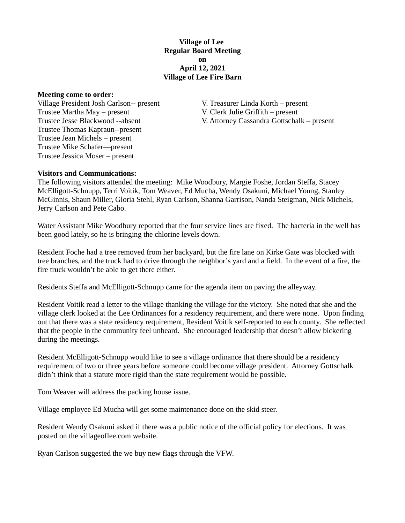**Village of Lee Regular Board Meeting on April 12, 2021 Village of Lee Fire Barn**

**Meeting come to order:**

Village President Josh Carlson-- present V. Treasurer Linda Korth – present Trustee Martha May – present V. Clerk Julie Griffith – present Trustee Thomas Kapraun--present Trustee Jean Michels – present Trustee Mike Schafer—present Trustee Jessica Moser – present

Trustee Jesse Blackwood --absent V. Attorney Cassandra Gottschalk – present

**Visitors and Communications:** 

The following visitors attended the meeting: Mike Woodbury, Margie Foshe, Jordan Steffa, Stacey McElligott-Schnupp, Terri Voitik, Tom Weaver, Ed Mucha, Wendy Osakuni, Michael Young, Stanley McGinnis, Shaun Miller, Gloria Stehl, Ryan Carlson, Shanna Garrison, Nanda Steigman, Nick Michels, Jerry Carlson and Pete Cabo.

Water Assistant Mike Woodbury reported that the four service lines are fixed. The bacteria in the well has been good lately, so he is bringing the chlorine levels down.

Resident Foche had a tree removed from her backyard, but the fire lane on Kirke Gate was blocked with tree branches, and the truck had to drive through the neighbor's yard and a field. In the event of a fire, the fire truck wouldn't be able to get there either.

Residents Steffa and McElligott-Schnupp came for the agenda item on paving the alleyway.

Resident Voitik read a letter to the village thanking the village for the victory. She noted that she and the village clerk looked at the Lee Ordinances for a residency requirement, and there were none. Upon finding out that there was a state residency requirement, Resident Voitik self-reported to each county. She reflected that the people in the community feel unheard. She encouraged leadership that doesn't allow bickering during the meetings.

Resident McElligott-Schnupp would like to see a village ordinance that there should be a residency requirement of two or three years before someone could become village president. Attorney Gottschalk didn't think that a statute more rigid than the state requirement would be possible.

Tom Weaver will address the packing house issue.

Village employee Ed Mucha will get some maintenance done on the skid steer.

Resident Wendy Osakuni asked if there was a public notice of the official policy for elections. It was posted on the villageoflee.com website.

Ryan Carlson suggested the we buy new flags through the VFW.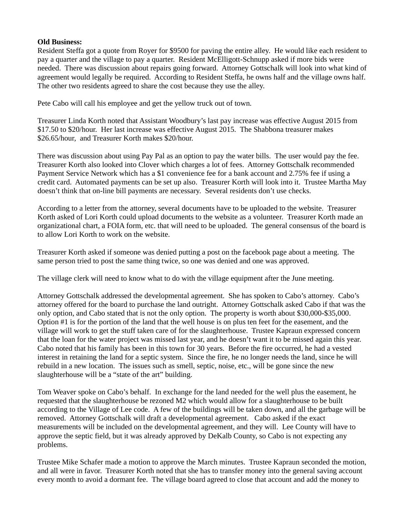## **Old Business:**

Resident Steffa got a quote from Royer for \$9500 for paving the entire alley. He would like each resident to pay a quarter and the village to pay a quarter. Resident McElligott-Schnupp asked if more bids were needed. There was discussion about repairs going forward. Attorney Gottschalk will look into what kind of agreement would legally be required. According to Resident Steffa, he owns half and the village owns half. The other two residents agreed to share the cost because they use the alley.

Pete Cabo will call his employee and get the yellow truck out of town.

Treasurer Linda Korth noted that Assistant Woodbury's last pay increase was effective August 2015 from \$17.50 to \$20/hour. Her last increase was effective August 2015. The Shabbona treasurer makes \$26.65/hour, and Treasurer Korth makes \$20/hour.

There was discussion about using Pay Pal as an option to pay the water bills. The user would pay the fee. Treasurer Korth also looked into Clover which charges a lot of fees. Attorney Gottschalk recommended Payment Service Network which has a \$1 convenience fee for a bank account and 2.75% fee if using a credit card. Automated payments can be set up also. Treasurer Korth will look into it. Trustee Martha May doesn't think that on-line bill payments are necessary. Several residents don't use checks.

According to a letter from the attorney, several documents have to be uploaded to the website. Treasurer Korth asked of Lori Korth could upload documents to the website as a volunteer. Treasurer Korth made an organizational chart, a FOIA form, etc. that will need to be uploaded. The general consensus of the board is to allow Lori Korth to work on the website.

Treasurer Korth asked if someone was denied putting a post on the facebook page about a meeting. The same person tried to post the same thing twice, so one was denied and one was approved.

The village clerk will need to know what to do with the village equipment after the June meeting.

Attorney Gottschalk addressed the developmental agreement. She has spoken to Cabo's attorney. Cabo's attorney offered for the board to purchase the land outright. Attorney Gottschalk asked Cabo if that was the only option, and Cabo stated that is not the only option. The property is worth about \$30,000-\$35,000. Option #1 is for the portion of the land that the well house is on plus ten feet for the easement, and the village will work to get the stuff taken care of for the slaughterhouse. Trustee Kapraun expressed concern that the loan for the water project was missed last year, and he doesn't want it to be missed again this year. Cabo noted that his family has been in this town for 30 years. Before the fire occurred, he had a vested interest in retaining the land for a septic system. Since the fire, he no longer needs the land, since he will rebuild in a new location. The issues such as smell, septic, noise, etc., will be gone since the new slaughterhouse will be a "state of the art" building.

Tom Weaver spoke on Cabo's behalf. In exchange for the land needed for the well plus the easement, he requested that the slaughterhouse be rezoned M2 which would allow for a slaughterhouse to be built according to the Village of Lee code. A few of the buildings will be taken down, and all the garbage will be removed. Attorney Gottschalk will draft a developmental agreement. Cabo asked if the exact measurements will be included on the developmental agreement, and they will. Lee County will have to approve the septic field, but it was already approved by DeKalb County, so Cabo is not expecting any problems.

Trustee Mike Schafer made a motion to approve the March minutes. Trustee Kapraun seconded the motion, and all were in favor. Treasurer Korth noted that she has to transfer money into the general saving account every month to avoid a dormant fee. The village board agreed to close that account and add the money to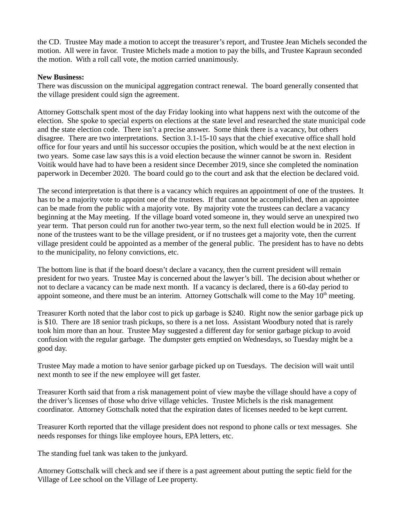the CD. Trustee May made a motion to accept the treasurer's report, and Trustee Jean Michels seconded the motion. All were in favor. Trustee Michels made a motion to pay the bills, and Trustee Kapraun seconded the motion. With a roll call vote, the motion carried unanimously.

## **New Business:**

There was discussion on the municipal aggregation contract renewal. The board generally consented that the village president could sign the agreement.

Attorney Gottschalk spent most of the day Friday looking into what happens next with the outcome of the election. She spoke to special experts on elections at the state level and researched the state municipal code and the state election code. There isn't a precise answer. Some think there is a vacancy, but others disagree. There are two interpretations. Section 3.1-15-10 says that the chief executive office shall hold office for four years and until his successor occupies the position, which would be at the next election in two years. Some case law says this is a void election because the winner cannot be sworn in. Resident Voitik would have had to have been a resident since December 2019, since she completed the nomination paperwork in December 2020. The board could go to the court and ask that the election be declared void.

The second interpretation is that there is a vacancy which requires an appointment of one of the trustees. It has to be a majority vote to appoint one of the trustees. If that cannot be accomplished, then an appointee can be made from the public with a majority vote. By majority vote the trustees can declare a vacancy beginning at the May meeting. If the village board voted someone in, they would serve an unexpired two year term. That person could run for another two-year term, so the next full election would be in 2025. If none of the trustees want to be the village president, or if no trustees get a majority vote, then the current village president could be appointed as a member of the general public. The president has to have no debts to the municipality, no felony convictions, etc.

The bottom line is that if the board doesn't declare a vacancy, then the current president will remain president for two years. Trustee May is concerned about the lawyer's bill. The decision about whether or not to declare a vacancy can be made next month. If a vacancy is declared, there is a 60-day period to appoint someone, and there must be an interim. Attorney Gottschalk will come to the May  $10<sup>th</sup>$  meeting.

Treasurer Korth noted that the labor cost to pick up garbage is \$240. Right now the senior garbage pick up is \$10. There are 18 senior trash pickups, so there is a net loss. Assistant Woodbury noted that is rarely took him more than an hour. Trustee May suggested a different day for senior garbage pickup to avoid confusion with the regular garbage. The dumpster gets emptied on Wednesdays, so Tuesday might be a good day.

Trustee May made a motion to have senior garbage picked up on Tuesdays. The decision will wait until next month to see if the new employee will get faster.

Treasurer Korth said that from a risk management point of view maybe the village should have a copy of the driver's licenses of those who drive village vehicles. Trustee Michels is the risk management coordinator. Attorney Gottschalk noted that the expiration dates of licenses needed to be kept current.

Treasurer Korth reported that the village president does not respond to phone calls or text messages. She needs responses for things like employee hours, EPA letters, etc.

The standing fuel tank was taken to the junkyard.

Attorney Gottschalk will check and see if there is a past agreement about putting the septic field for the Village of Lee school on the Village of Lee property.